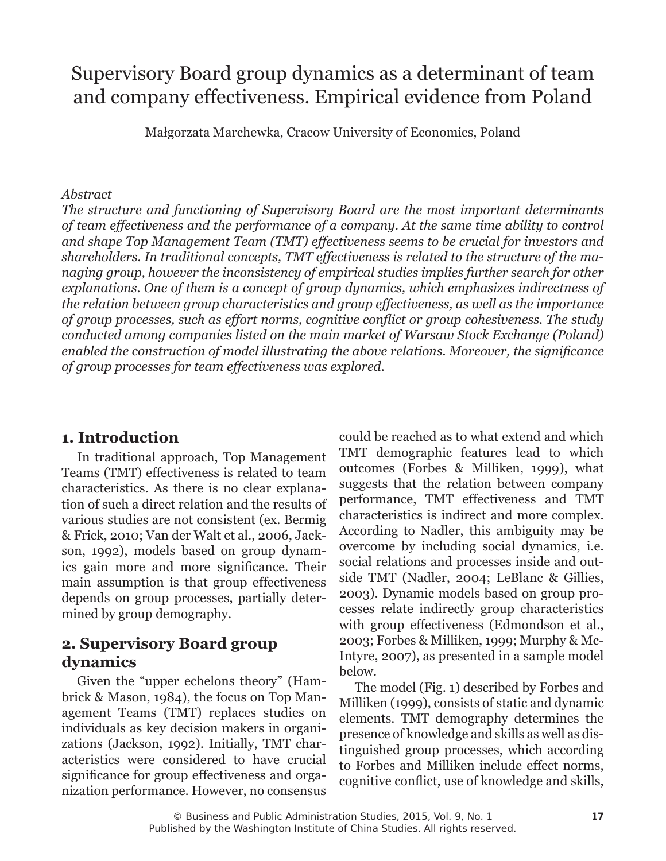# Supervisory Board group dynamics as a determinant of team and company effectiveness. Empirical evidence from Poland

Małgorzata Marchewka, Cracow University of Economics, Poland

#### *Abstract*

*The structure and functioning of Supervisory Board are the most important determinants of team effectiveness and the performance of a company. At the same time ability to control and shape Top Management Team (TMT) effectiveness seems to be crucial for investors and shareholders. In traditional concepts, TMT effectiveness is related to the structure of the managing group, however the inconsistency of empirical studies implies further search for other explanations. One of them is a concept of group dynamics, which emphasizes indirectness of the relation between group characteristics and group effectiveness, as well as the importance of group processes, such as effort norms, cognitive conflict or group cohesiveness. The study conducted among companies listed on the main market of Warsaw Stock Exchange (Poland) enabled the construction of model illustrating the above relations. Moreover, the significance of group processes for team effectiveness was explored.*

# **1. Introduction**

In traditional approach, Top Management Teams (TMT) effectiveness is related to team characteristics. As there is no clear explanation of such a direct relation and the results of various studies are not consistent (ex. Bermig & Frick, 2010; Van der Walt et al., 2006, Jackson, 1992), models based on group dynamics gain more and more significance. Their main assumption is that group effectiveness depends on group processes, partially determined by group demography.

# **2. Supervisory Board group dynamics**

Given the "upper echelons theory" (Hambrick & Mason, 1984), the focus on Top Management Teams (TMT) replaces studies on individuals as key decision makers in organizations (Jackson, 1992). Initially, TMT characteristics were considered to have crucial significance for group effectiveness and organization performance. However, no consensus

could be reached as to what extend and which TMT demographic features lead to which outcomes (Forbes & Milliken, 1999), what suggests that the relation between company performance, TMT effectiveness and TMT characteristics is indirect and more complex. According to Nadler, this ambiguity may be overcome by including social dynamics, i.e. social relations and processes inside and outside TMT (Nadler, 2004; LeBlanc & Gillies, 2003). Dynamic models based on group processes relate indirectly group characteristics with group effectiveness (Edmondson et al., 2003; Forbes & Milliken, 1999; Murphy & Mc-Intyre, 2007), as presented in a sample model below.

The model (Fig. 1) described by Forbes and Milliken (1999), consists of static and dynamic elements. TMT demography determines the presence of knowledge and skills as well as distinguished group processes, which according to Forbes and Milliken include effect norms, cognitive conflict, use of knowledge and skills,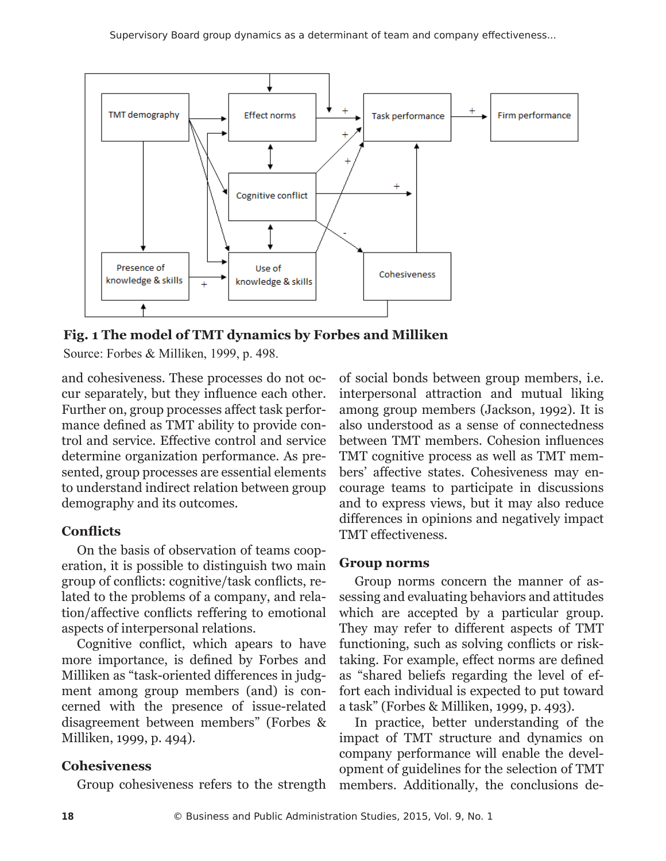

**Fig. 1 The model of TMT dynamics by Forbes and Milliken**

Source: Forbes & Milliken, 1999, p. 498.

and cohesiveness. These processes do not occur separately, but they influence each other. Further on, group processes affect task performance defined as TMT ability to provide control and service. Effective control and service determine organization performance. As presented, group processes are essential elements to understand indirect relation between group demography and its outcomes.

#### **Conflicts**

On the basis of observation of teams cooperation, it is possible to distinguish two main group of conflicts: cognitive/task conflicts, related to the problems of a company, and relation/affective conflicts reffering to emotional aspects of interpersonal relations.

Cognitive conflict, which apears to have more importance, is defined by Forbes and Milliken as "task-oriented differences in judgment among group members (and) is concerned with the presence of issue-related disagreement between members" (Forbes & Milliken, 1999, p. 494).

#### **Cohesiveness**

Group cohesiveness refers to the strength

of social bonds between group members, i.e. interpersonal attraction and mutual liking among group members (Jackson, 1992). It is also understood as a sense of connectedness between TMT members. Cohesion influences TMT cognitive process as well as TMT members' affective states. Cohesiveness may encourage teams to participate in discussions and to express views, but it may also reduce differences in opinions and negatively impact TMT effectiveness.

#### **Group norms**

Group norms concern the manner of assessing and evaluating behaviors and attitudes which are accepted by a particular group. They may refer to different aspects of TMT functioning, such as solving conflicts or risktaking. For example, effect norms are defined as "shared beliefs regarding the level of effort each individual is expected to put toward a task" (Forbes & Milliken, 1999, p. 493).

In practice, better understanding of the impact of TMT structure and dynamics on company performance will enable the development of guidelines for the selection of TMT members. Additionally, the conclusions de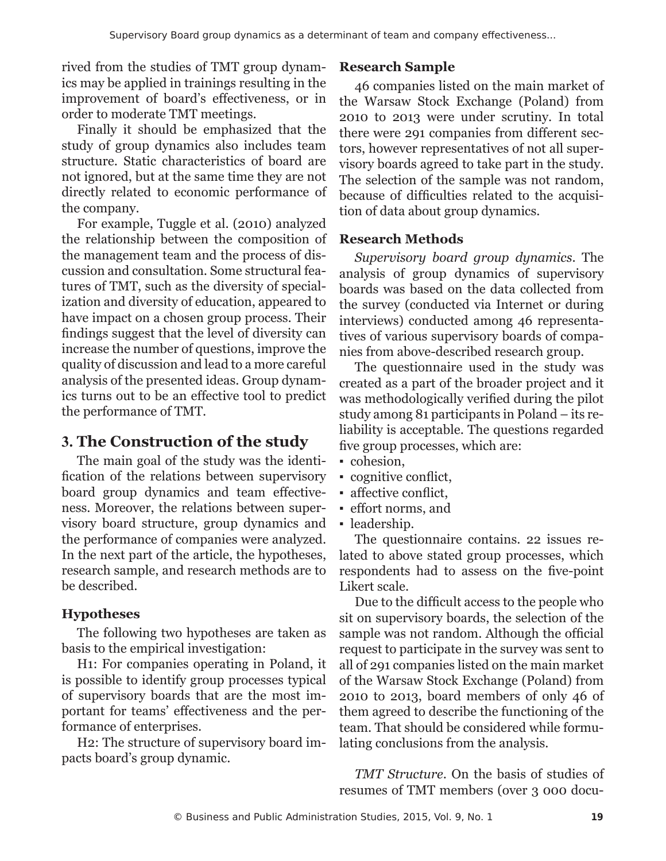rived from the studies of TMT group dynamics may be applied in trainings resulting in the improvement of board's effectiveness, or in order to moderate TMT meetings.

Finally it should be emphasized that the study of group dynamics also includes team structure. Static characteristics of board are not ignored, but at the same time they are not directly related to economic performance of the company.

For example, Tuggle et al. (2010) analyzed the relationship between the composition of the management team and the process of discussion and consultation. Some structural features of TMT, such as the diversity of specialization and diversity of education, appeared to have impact on a chosen group process. Their findings suggest that the level of diversity can increase the number of questions, improve the quality of discussion and lead to a more careful analysis of the presented ideas. Group dynamics turns out to be an effective tool to predict the performance of TMT.

# **3. The Construction of the study**

The main goal of the study was the identification of the relations between supervisory board group dynamics and team effectiveness. Moreover, the relations between supervisory board structure, group dynamics and the performance of companies were analyzed. In the next part of the article, the hypotheses, research sample, and research methods are to be described.

# **Hypotheses**

The following two hypotheses are taken as basis to the empirical investigation:

H1: For companies operating in Poland, it is possible to identify group processes typical of supervisory boards that are the most important for teams' effectiveness and the performance of enterprises.

H2: The structure of supervisory board impacts board's group dynamic.

# **Research Sample**

46 companies listed on the main market of the Warsaw Stock Exchange (Poland) from 2010 to 2013 were under scrutiny. In total there were 291 companies from different sectors, however representatives of not all supervisory boards agreed to take part in the study. The selection of the sample was not random, because of difficulties related to the acquisition of data about group dynamics.

#### **Research Methods**

*Supervisory board group dynamics*. The analysis of group dynamics of supervisory boards was based on the data collected from the survey (conducted via Internet or during interviews) conducted among 46 representatives of various supervisory boards of companies from above-described research group.

The questionnaire used in the study was created as a part of the broader project and it was methodologically verified during the pilot study among 81 participants in Poland – its reliability is acceptable. The questions regarded five group processes, which are:

- cohesion.
- cognitive conflict,
- affective conflict,
- effort norms, and
- leadership.

The questionnaire contains. 22 issues related to above stated group processes, which respondents had to assess on the five-point Likert scale.

Due to the difficult access to the people who sit on supervisory boards, the selection of the sample was not random. Although the official request to participate in the survey was sent to all of 291 companies listed on the main market of the Warsaw Stock Exchange (Poland) from 2010 to 2013, board members of only 46 of them agreed to describe the functioning of the team. That should be considered while formulating conclusions from the analysis.

*TMT Structure*. On the basis of studies of resumes of TMT members (over 3 000 docu-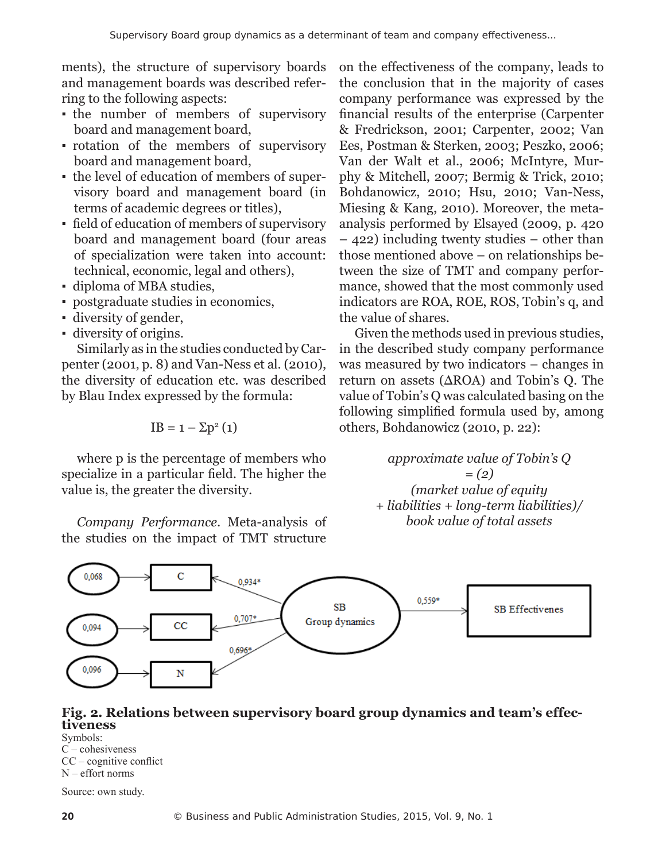ments), the structure of supervisory boards and management boards was described referring to the following aspects:

- the number of members of supervisory board and management board,
- rotation of the members of supervisory board and management board,
- the level of education of members of supervisory board and management board (in terms of academic degrees or titles),
- field of education of members of supervisory board and management board (four areas of specialization were taken into account: technical, economic, legal and others),
- diploma of MBA studies,
- postgraduate studies in economics,
- diversity of gender,
- diversity of origins.

Similarly as in the studies conducted by Carpenter (2001, p. 8) and Van-Ness et al. (2010), the diversity of education etc. was described by Blau Index expressed by the formula:

$$
IB = 1 - \Sigma p^2 (1)
$$

where p is the percentage of members who specialize in a particular field. The higher the value is, the greater the diversity.

*Company Performance*. Meta-analysis of the studies on the impact of TMT structure

on the effectiveness of the company, leads to the conclusion that in the majority of cases company performance was expressed by the financial results of the enterprise (Carpenter & Fredrickson, 2001; Carpenter, 2002; Van Ees, Postman & Sterken, 2003; Peszko, 2006; Van der Walt et al., 2006; McIntyre, Murphy & Mitchell, 2007; Bermig & Trick, 2010; Bohdanowicz, 2010; Hsu, 2010; Van-Ness, Miesing & Kang, 2010). Moreover, the metaanalysis performed by Elsayed (2009, p. 420 – 422) including twenty studies – other than those mentioned above – on relationships between the size of TMT and company performance, showed that the most commonly used indicators are ROA, ROE, ROS, Tobin's q, and the value of shares.

Given the methods used in previous studies, in the described study company performance was measured by two indicators – changes in return on assets (ΔROA) and Tobin's Q. The value of Tobin's Q was calculated basing on the following simplified formula used by, among others, Bohdanowicz (2010, p. 22):

> *approximate value of Tobin's Q = (2) (market value of equity + liabilities + long-term liabilities)/ book value of total assets*



# **Fig. 2. Relations between supervisory board group dynamics and team's effec- tiveness**

Symbols: C – cohesiveness CC – cognitive conflict N – effort norms

Source: own study.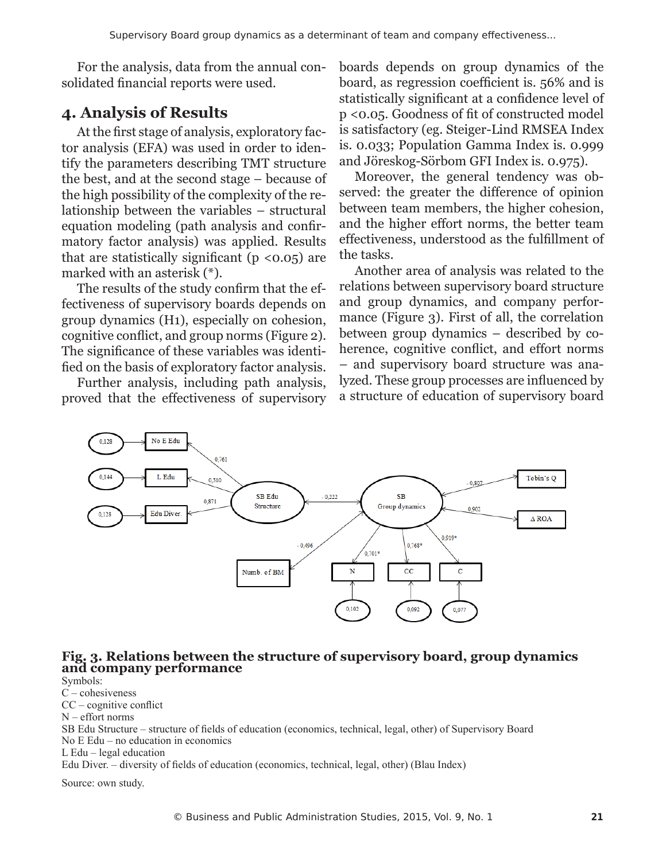For the analysis, data from the annual consolidated financial reports were used.

#### **4. Analysis of Results**

At the first stage of analysis, exploratory factor analysis (EFA) was used in order to identify the parameters describing TMT structure the best, and at the second stage – because of the high possibility of the complexity of the relationship between the variables – structural equation modeling (path analysis and confirmatory factor analysis) was applied. Results that are statistically significant  $(p < 0.05)$  are marked with an asterisk (\*).

The results of the study confirm that the effectiveness of supervisory boards depends on group dynamics (H1), especially on cohesion, cognitive conflict, and group norms (Figure 2). The significance of these variables was identified on the basis of exploratory factor analysis.

Further analysis, including path analysis, proved that the effectiveness of supervisory boards depends on group dynamics of the board, as regression coefficient is. 56% and is statistically significant at a confidence level of p <0.05. Goodness of fit of constructed model is satisfactory (eg. Steiger-Lind RMSEA Index is. 0.033; Population Gamma Index is. 0.999 and Jöreskog-Sörbom GFI Index is. 0.975).

Moreover, the general tendency was observed: the greater the difference of opinion between team members, the higher cohesion, and the higher effort norms, the better team effectiveness, understood as the fulfillment of the tasks.

Another area of analysis was related to the relations between supervisory board structure and group dynamics, and company performance (Figure 3). First of all, the correlation between group dynamics – described by coherence, cognitive conflict, and effort norms – and supervisory board structure was analyzed. These group processes are influenced by a structure of education of supervisory board



#### **Fig. 3. Relations between the structure of supervisory board, group dynamics and company performance**

Symbols: C – cohesiveness CC – cognitive conflict N – effort norms SB Edu Structure – structure of fields of education (economics, technical, legal, other) of Supervisory Board No E Edu – no education in economics L Edu – legal education Edu Diver. – diversity of fields of education (economics, technical, legal, other) (Blau Index) Source: own study.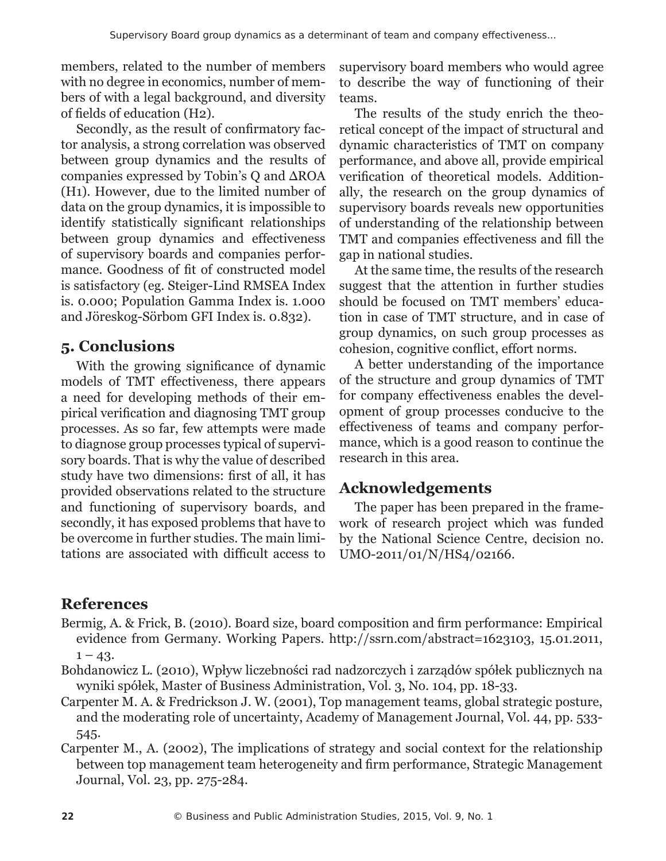members, related to the number of members with no degree in economics, number of members of with a legal background, and diversity of fields of education (H2).

Secondly, as the result of confirmatory factor analysis, a strong correlation was observed between group dynamics and the results of companies expressed by Tobin's Q and ΔROA (H1). However, due to the limited number of data on the group dynamics, it is impossible to identify statistically significant relationships between group dynamics and effectiveness of supervisory boards and companies performance. Goodness of fit of constructed model is satisfactory (eg. Steiger-Lind RMSEA Index is. 0.000; Population Gamma Index is. 1.000 and Jöreskog-Sörbom GFI Index is. 0.832).

# **5. Conclusions**

With the growing significance of dynamic models of TMT effectiveness, there appears a need for developing methods of their empirical verification and diagnosing TMT group processes. As so far, few attempts were made to diagnose group processes typical of supervisory boards. That is why the value of described study have two dimensions: first of all, it has provided observations related to the structure and functioning of supervisory boards, and secondly, it has exposed problems that have to be overcome in further studies. The main limitations are associated with difficult access to supervisory board members who would agree to describe the way of functioning of their teams.

The results of the study enrich the theoretical concept of the impact of structural and dynamic characteristics of TMT on company performance, and above all, provide empirical verification of theoretical models. Additionally, the research on the group dynamics of supervisory boards reveals new opportunities of understanding of the relationship between TMT and companies effectiveness and fill the gap in national studies.

At the same time, the results of the research suggest that the attention in further studies should be focused on TMT members' education in case of TMT structure, and in case of group dynamics, on such group processes as cohesion, cognitive conflict, effort norms.

A better understanding of the importance of the structure and group dynamics of TMT for company effectiveness enables the development of group processes conducive to the effectiveness of teams and company performance, which is a good reason to continue the research in this area.

# **Acknowledgements**

The paper has been prepared in the framework of research project which was funded by the National Science Centre, decision no. UMO-2011/01/N/HS4/02166.

# **References**

- Bermig, A. & Frick, B. (2010). Board size, board composition and firm performance: Empirical evidence from Germany. Working Papers. http://ssrn.com/abstract=1623103, 15.01.2011,  $1 - 43.$
- Bohdanowicz L. (2010), Wpływ liczebności rad nadzorczych i zarządów spółek publicznych na wyniki spółek, Master of Business Administration, Vol. 3, No. 104, pp. 18-33.
- Carpenter M. A. & Fredrickson J. W. (2001), Top management teams, global strategic posture, and the moderating role of uncertainty, Academy of Management Journal, Vol. 44, pp. 533- 545.
- Carpenter M., A. (2002), The implications of strategy and social context for the relationship between top management team heterogeneity and firm performance, Strategic Management Journal, Vol. 23, pp. 275-284.